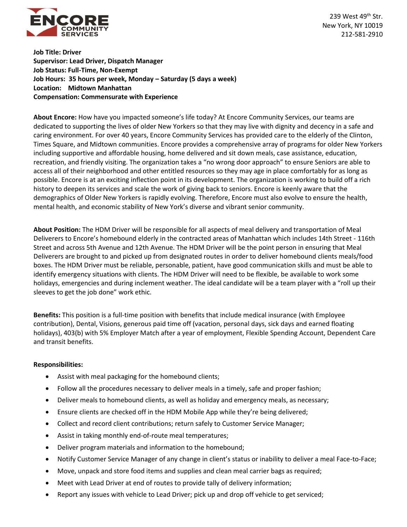

239 West  $49<sup>th</sup>$  Str. New York, NY 10019 212-581-2910

**Job Title: Driver Supervisor: Lead Driver, Dispatch Manager Job Status: Full-Time, Non-Exempt Job Hours: 35 hours per week, Monday – Saturday (5 days a week) Location: Midtown Manhattan Compensation: Commensurate with Experience** 

**About Encore:** How have you impacted someone's life today? At Encore Community Services, our teams are dedicated to supporting the lives of older New Yorkers so that they may live with dignity and decency in a safe and caring environment. For over 40 years, Encore Community Services has provided care to the elderly of the Clinton, Times Square, and Midtown communities. Encore provides a comprehensive array of programs for older New Yorkers including supportive and affordable housing, home delivered and sit down meals, case assistance, education, recreation, and friendly visiting. The organization takes a "no wrong door approach" to ensure Seniors are able to access all of their neighborhood and other entitled resources so they may age in place comfortably for as long as possible. Encore is at an exciting inflection point in its development. The organization is working to build off a rich history to deepen its services and scale the work of giving back to seniors. Encore is keenly aware that the demographics of Older New Yorkers is rapidly evolving. Therefore, Encore must also evolve to ensure the health, mental health, and economic stability of New York's diverse and vibrant senior community.

**About Position:** The HDM Driver will be responsible for all aspects of meal delivery and transportation of Meal Deliverers to Encore's homebound elderly in the contracted areas of Manhattan which includes 14th Street - 116th Street and across 5th Avenue and 12th Avenue. The HDM Driver will be the point person in ensuring that Meal Deliverers are brought to and picked up from designated routes in order to deliver homebound clients meals/food boxes. The HDM Driver must be reliable, personable, patient, have good communication skills and must be able to identify emergency situations with clients. The HDM Driver will need to be flexible, be available to work some holidays, emergencies and during inclement weather. The ideal candidate will be a team player with a "roll up their sleeves to get the job done" work ethic.

**Benefits:** This position is a full-time position with benefits that include medical insurance (with Employee contribution), Dental, Visions, generous paid time off (vacation, personal days, sick days and earned floating holidays), 403(b) with 5% Employer Match after a year of employment, Flexible Spending Account, Dependent Care and transit benefits.

## **Responsibilities:**

- Assist with meal packaging for the homebound clients;
- Follow all the procedures necessary to deliver meals in a timely, safe and proper fashion;
- Deliver meals to homebound clients, as well as holiday and emergency meals, as necessary;
- Ensure clients are checked off in the HDM Mobile App while they're being delivered;
- Collect and record client contributions; return safely to Customer Service Manager;
- Assist in taking monthly end-of-route meal temperatures;
- Deliver program materials and information to the homebound;
- Notify Customer Service Manager of any change in client's status or inability to deliver a meal Face-to-Face;
- Move, unpack and store food items and supplies and clean meal carrier bags as required;
- Meet with Lead Driver at end of routes to provide tally of delivery information;
- Report any issues with vehicle to Lead Driver; pick up and drop off vehicle to get serviced;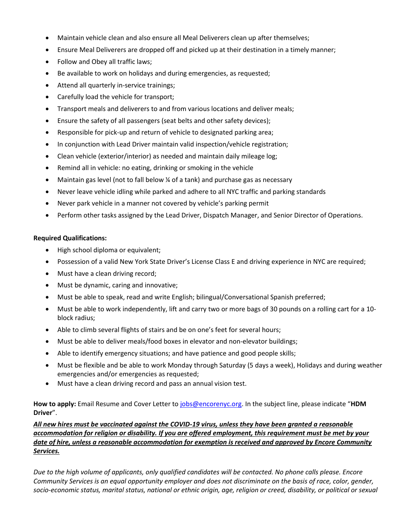- Maintain vehicle clean and also ensure all Meal Deliverers clean up after themselves;
- Ensure Meal Deliverers are dropped off and picked up at their destination in a timely manner;
- Follow and Obey all traffic laws;
- Be available to work on holidays and during emergencies, as requested;
- Attend all quarterly in-service trainings;
- Carefully load the vehicle for transport;
- Transport meals and deliverers to and from various locations and deliver meals;
- Ensure the safety of all passengers (seat belts and other safety devices);
- Responsible for pick-up and return of vehicle to designated parking area;
- In conjunction with Lead Driver maintain valid inspection/vehicle registration;
- Clean vehicle (exterior/interior) as needed and maintain daily mileage log;
- Remind all in vehicle: no eating, drinking or smoking in the vehicle
- Maintain gas level (not to fall below  $\frac{1}{4}$  of a tank) and purchase gas as necessary
- Never leave vehicle idling while parked and adhere to all NYC traffic and parking standards
- Never park vehicle in a manner not covered by vehicle's parking permit
- Perform other tasks assigned by the Lead Driver, Dispatch Manager, and Senior Director of Operations.

## **Required Qualifications:**

- High school diploma or equivalent;
- Possession of a valid New York State Driver's License Class E and driving experience in NYC are required;
- Must have a clean driving record;
- Must be dynamic, caring and innovative;
- Must be able to speak, read and write English; bilingual/Conversational Spanish preferred;
- Must be able to work independently, lift and carry two or more bags of 30 pounds on a rolling cart for a 10 block radius;
- Able to climb several flights of stairs and be on one's feet for several hours;
- Must be able to deliver meals/food boxes in elevator and non-elevator buildings;
- Able to identify emergency situations; and have patience and good people skills;
- Must be flexible and be able to work Monday through Saturday (5 days a week), Holidays and during weather emergencies and/or emergencies as requested;
- Must have a clean driving record and pass an annual vision test.

**How to apply:** Email Resume and Cover Letter to [jobs@encorenyc.org](mailto:jobs@encorenyc.org). In the subject line, please indicate "**HDM Driver**".

*All new hires must be vaccinated against the COVID-19 virus, unless they have been granted a reasonable accommodation for religion or disability. If you are offered employment, this requirement must be met by your date of hire, unless a reasonable accommodation for exemption is received and approved by Encore Community Services.*

*Due to the high volume of applicants, only qualified candidates will be contacted. No phone calls please. Encore Community Services is an equal opportunity employer and does not discriminate on the basis of race, color, gender, socio-economic status, marital status, national or ethnic origin, age, religion or creed, disability, or political or sexual*